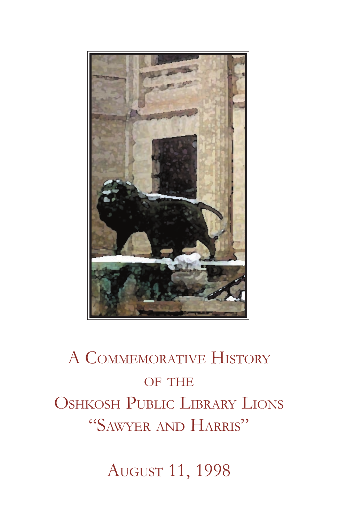

# A COMMEMORATIVE HISTORY OF THE OSHKOSH PUBLIC LIBRARY LIONS "SAWYER AND HARRIS"

AUGUST 11, 1998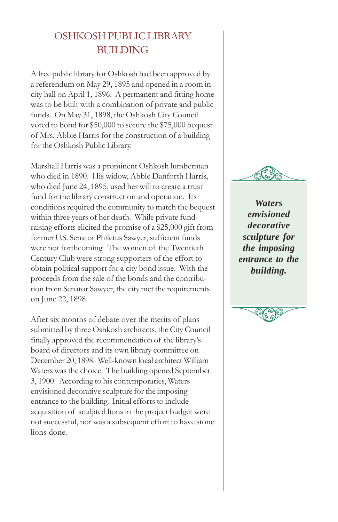# OSHKOSH PUBLIC LIBRARY BUILDING

A free public library for Oshkosh had been approved by a referendum on May 29, 1895 and opened in a room in city hall on April 1, 1896. A permanent and fitting home was to be built with a combination of private and public funds. On May 31, 1898, the Oshkosh City Council voted to bond for \$50,000 to secure the \$75,000 bequest of Mrs. Abbie Harris for the construction of a building for the Oshkosh Public Library.

Marshall Harris was a prominent Oshkosh lumberman who died in 1890. His widow, Abbie Danforth Harris, who died June 24, 1895, used her will to create a trust fund for the library construction and operation. Its conditions required the community to match the bequest within three years of her death. While private fundraising efforts elicited the promise of a \$25,000 gift from former U.S. Senator Philetus Sawyer, sufficient funds were not forthcoming. The women of the Twentieth Century Club were strong supporters of the effort to obtain political support for a city bond issue. With the proceeds from the sale of the bonds and the contribution from Senator Sawyer, the city met the requirements on June 22, 1898.

After six months of debate over the merits of plans submitted by three Oshkosh architects, the City Council finally approved the recommendation of the librarys board of directors and its own library committee on December 20, 1898. Well-known local architect William Waters was the choice. The building opened September 3, 1900. According to his contemporaries, Waters envisioned decorative sculpture for the imposing entrance to the building. Initial efforts to include acquisition of sculpted lions in the project budget were not successful, nor was a subsequent effort to have stone lions done.



*Waters envisioned decorative sculpture for the imposing entrance to the building.*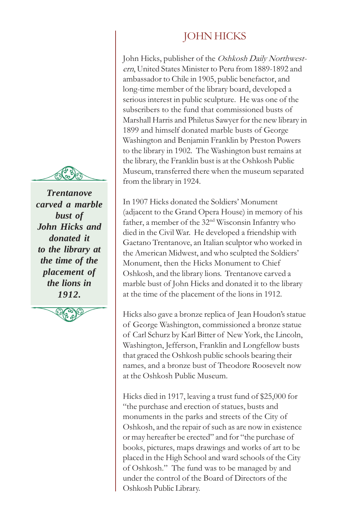*Trentanove carved a marble bust of John Hicks and donated it to the library at the time of the placement of the lions in 1912.*



# JOHN HICKS

John Hicks, publisher of the Oshkosh Daily Northwestern, United States Minister to Peru from 1889-1892 and ambassador to Chile in 1905, public benefactor, and long-time member of the library board, developed a serious interest in public sculpture. He was one of the subscribers to the fund that commissioned busts of Marshall Harris and Philetus Sawyer for the new library in 1899 and himself donated marble busts of George Washington and Benjamin Franklin by Preston Powers to the library in 1902. The Washington bust remains at the library, the Franklin bust is at the Oshkosh Public Museum, transferred there when the museum separated from the library in 1924.

In 1907 Hicks donated the Soldiers' Monument (adjacent to the Grand Opera House) in memory of his father, a member of the 32nd Wisconsin Infantry who died in the Civil War. He developed a friendship with Gaetano Trentanove, an Italian sculptor who worked in the American Midwest, and who sculpted the Soldiers Monument, then the Hicks Monument to Chief Oshkosh, and the library lions. Trentanove carved a marble bust of John Hicks and donated it to the library at the time of the placement of the lions in 1912.

Hicks also gave a bronze replica of Jean Houdon's statue of George Washington, commissioned a bronze statue of Carl Schurz by Karl Bitter of New York, the Lincoln, Washington, Jefferson, Franklin and Longfellow busts that graced the Oshkosh public schools bearing their names, and a bronze bust of Theodore Roosevelt now at the Oshkosh Public Museum.

Hicks died in 1917, leaving a trust fund of \$25,000 for the purchase and erection of statues, busts and monuments in the parks and streets of the City of Oshkosh, and the repair of such as are now in existence or may hereafter be erected" and for "the purchase of books, pictures, maps drawings and works of art to be placed in the High School and ward schools of the City of Oshkosh." The fund was to be managed by and under the control of the Board of Directors of the Oshkosh Public Library.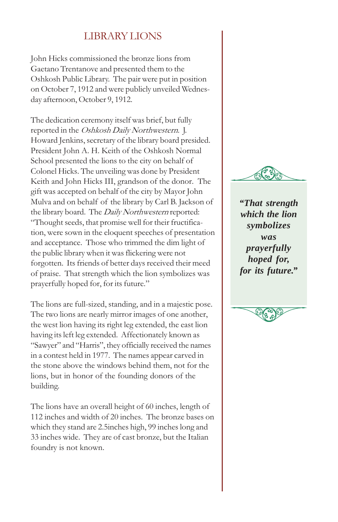### LIBRARY LIONS

John Hicks commissioned the bronze lions from Gaetano Trentanove and presented them to the Oshkosh Public Library. The pair were put in position on October 7, 1912 and were publicly unveiled Wednesday afternoon, October 9, 1912.

The dedication ceremony itself was brief, but fully reported in the Oshkosh Daily Northwestern. J. Howard Jenkins, secretary of the library board presided. President John A. H. Keith of the Oshkosh Normal School presented the lions to the city on behalf of Colonel Hicks. The unveiling was done by President Keith and John Hicks III, grandson of the donor. The gift was accepted on behalf of the city by Mayor John Mulva and on behalf of the library by Carl B. Jackson of the library board. The Daily Northwestern reported: Thought seeds, that promise well for their fructification, were sown in the eloquent speeches of presentation and acceptance. Those who trimmed the dim light of the public library when it was flickering were not forgotten. Its friends of better days received their meed of praise. That strength which the lion symbolizes was prayerfully hoped for, for its future.

The lions are full-sized, standing, and in a majestic pose. The two lions are nearly mirror images of one another, the west lion having its right leg extended, the east lion having its left leg extended. Affectionately known as "Sawyer" and "Harris", they officially received the names in a contest held in 1977. The names appear carved in the stone above the windows behind them, not for the lions, but in honor of the founding donors of the building.

The lions have an overall height of 60 inches, length of 112 inches and width of 20 inches. The bronze bases on which they stand are 2.5inches high, 99 inches long and 33 inches wide. They are of cast bronze, but the Italian foundry is not known.



*"That strength which the lion symbolizes was prayerfully hoped for, for its future."*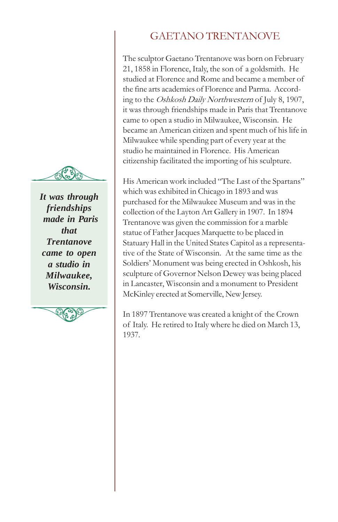

*It was through friendships made in Paris that Trentanove came to open a studio in Milwaukee, Wisconsin.*



# GAETANO TRENTANOVE

The sculptor Gaetano Trentanove was born on February 21, 1858 in Florence, Italy, the son of a goldsmith. He studied at Florence and Rome and became a member of the fine arts academies of Florence and Parma. According to the Oshkosh Daily Northwestern of July 8, 1907, it was through friendships made in Paris that Trentanove came to open a studio in Milwaukee, Wisconsin. He became an American citizen and spent much of his life in Milwaukee while spending part of every year at the studio he maintained in Florence. His American citizenship facilitated the importing of his sculpture.

His American work included "The Last of the Spartans" which was exhibited in Chicago in 1893 and was purchased for the Milwaukee Museum and was in the collection of the Layton Art Gallery in 1907. In 1894 Trentanove was given the commission for a marble statue of Father Jacques Marquette to be placed in Statuary Hall in the United States Capitol as a representative of the State of Wisconsin. At the same time as the Soldiers' Monument was being erected in Oshkosh, his sculpture of Governor Nelson Dewey was being placed in Lancaster, Wisconsin and a monument to President McKinley erected at Somerville, New Jersey.

In 1897 Trentanove was created a knight of the Crown of Italy. He retired to Italy where he died on March 13, 1937.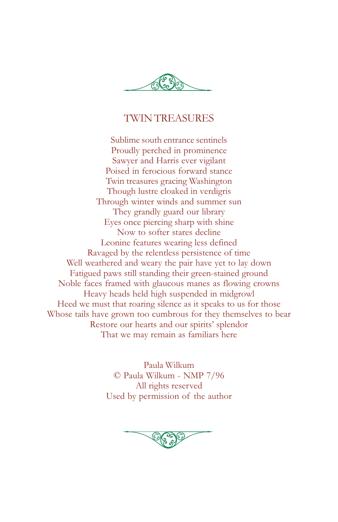

#### TWIN TREASURES

Sublime south entrance sentinels Proudly perched in prominence Sawyer and Harris ever vigilant Poised in ferocious forward stance Twin treasures gracing Washington Though lustre cloaked in verdigris Through winter winds and summer sun They grandly guard our library Eyes once piercing sharp with shine Now to softer stares decline Leonine features wearing less defined Ravaged by the relentless persistence of time Well weathered and weary the pair have yet to lay down Fatigued paws still standing their green-stained ground Noble faces framed with glaucous manes as flowing crowns Heavy heads held high suspended in midgrowl Heed we must that roaring silence as it speaks to us for those Whose tails have grown too cumbrous for they themselves to bear Restore our hearts and our spirits' splendor That we may remain as familiars here

> Paula Wilkum © Paula Wilkum - NMP 7/96 All rights reserved Used by permission of the author

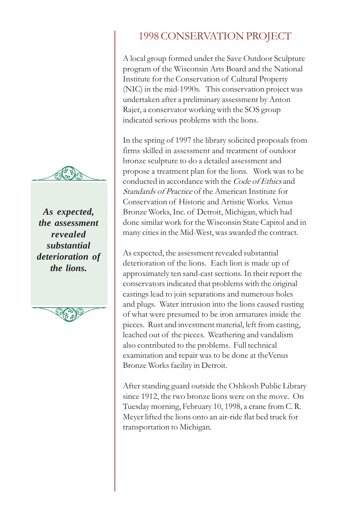

*As expected, the assessment revealed substantial deterioration of the lions.*



## 1998 CONSERVATION PROJECT

A local group formed under the Save Outdoor Sculpture program of the Wisconsin Arts Board and the National Institute for the Conservation of Cultural Property (NIC) in the mid-1990s. This conservation project was undertaken after a preliminary assessment by Anton Rajer, a conservator working with the SOS group indicated serious problems with the lions.

In the spring of 1997 the library solicited proposals from firms skilled in assessment and treatment of outdoor bronze sculpture to do a detailed assessment and propose a treatment plan for the lions. Work was to be conducted in accordance with the Code of Ethics and Standards of Practice of the American Institute for Conservation of Historic and Artistic Works. Venus Bronze Works, Inc. of Detroit, Michigan, which had done similar work for the Wisconsin State Capitol and in many cities in the Mid-West, was awarded the contract.

As expected, the assessment revealed substantial deterioration of the lions. Each lion is made up of approximately ten sand-cast sections. In their report the conservators indicated that problems with the original castings lead to join separations and numerous holes and plugs. Water intrusion into the lions caused rusting of what were presumed to be iron armatures inside the pieces. Rust and investment material, left from casting, leached out of the pieces. Weathering and vandalism also contributed to the problems. Full technical examination and repair was to be done at theVenus Bronze Works facility in Detroit.

After standing guard outside the Oshkosh Public Library since 1912, the two bronze lions were on the move. On Tuesday morning, February 10, 1998, a crane from C. R. Meyer lifted the lions onto an air-ride flat bed truck for transportation to Michigan.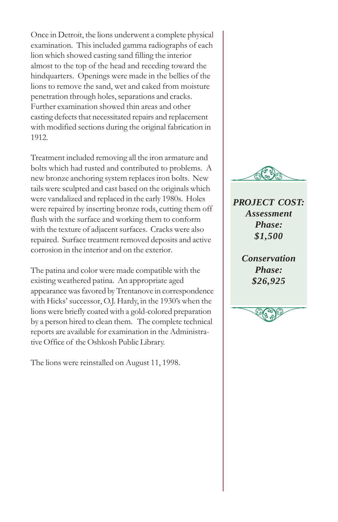Once in Detroit, the lions underwent a complete physical examination. This included gamma radiographs of each lion which showed casting sand filling the interior almost to the top of the head and receding toward the hindquarters. Openings were made in the bellies of the lions to remove the sand, wet and caked from moisture penetration through holes, separations and cracks. Further examination showed thin areas and other casting defects that necessitated repairs and replacement with modified sections during the original fabrication in 1912.

Treatment included removing all the iron armature and bolts which had rusted and contributed to problems. A new bronze anchoring system replaces iron bolts. New tails were sculpted and cast based on the originals which were vandalized and replaced in the early 1980s. Holes were repaired by inserting bronze rods, cutting them off flush with the surface and working them to conform with the texture of adjacent surfaces. Cracks were also repaired. Surface treatment removed deposits and active corrosion in the interior and on the exterior.

The patina and color were made compatible with the existing weathered patina. An appropriate aged appearance was favored by Trentanove in correspondence with Hicks' successor, O.J. Hardy, in the 1930's when the lions were briefly coated with a gold-colored preparation by a person hired to clean them. The complete technical reports are available for examination in the Administrative Office of the Oshkosh Public Library.

The lions were reinstalled on August 11, 1998.



*PROJECT COST: Assessment Phase: \$1,500*

> *Conservation Phase: \$26,925*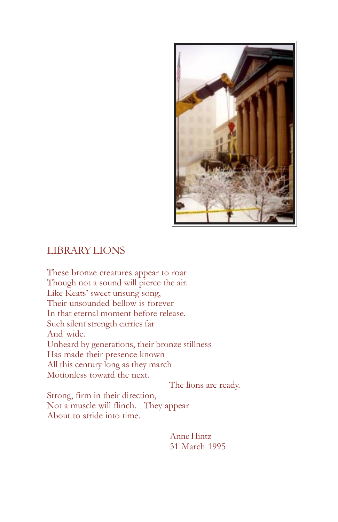

#### LIBRARY LIONS

These bronze creatures appear to roar Though not a sound will pierce the air. Like Keats' sweet unsung song, Their unsounded bellow is forever In that eternal moment before release. Such silent strength carries far And wide. Unheard by generations, their bronze stillness Has made their presence known All this century long as they march Motionless toward the next.

The lions are ready.

Strong, firm in their direction, Not a muscle will flinch. They appear About to stride into time.

> Anne Hintz 31 March 1995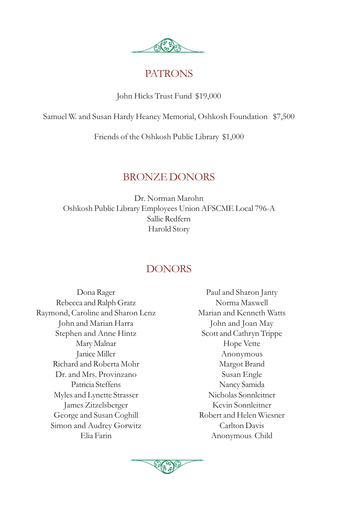

#### PATRONS

John Hicks Trust Fund \$19,000

Samuel W. and Susan Hardy Heaney Memorial, Oshkosh Foundation \$7,500

Friends of the Oshkosh Public Library \$1,000

### BRONZE DONORS

Dr. Norman Marohn Oshkosh Public Library Employees Union AFSCME Local 796-A Sallie Redfern Harold Story

# DONORS

Dona Rager Rebecca and Ralph Gratz Raymond, Caroline and Sharon Lenz John and Marian Harra Stephen and Anne Hintz Mary Malnar Janice Miller Richard and Roberta Mohr Dr. and Mrs. Provinzano Patricia Steffens Myles and Lynette Strasser James Zitzelsberger George and Susan Coghill Simon and Audrey Gorwitz Elia Farin

Paul and Sharon Janty Norma Maxwell Marian and Kenneth Watts John and Joan May Scott and Cathryn Trippe Hope Vette Anonymous Margot Brand Susan Engle Nancy Samida Nicholas Sonnleitner Kevin Sonnleitner Robert and Helen Wiesner Carlton Davis Anonymous Child